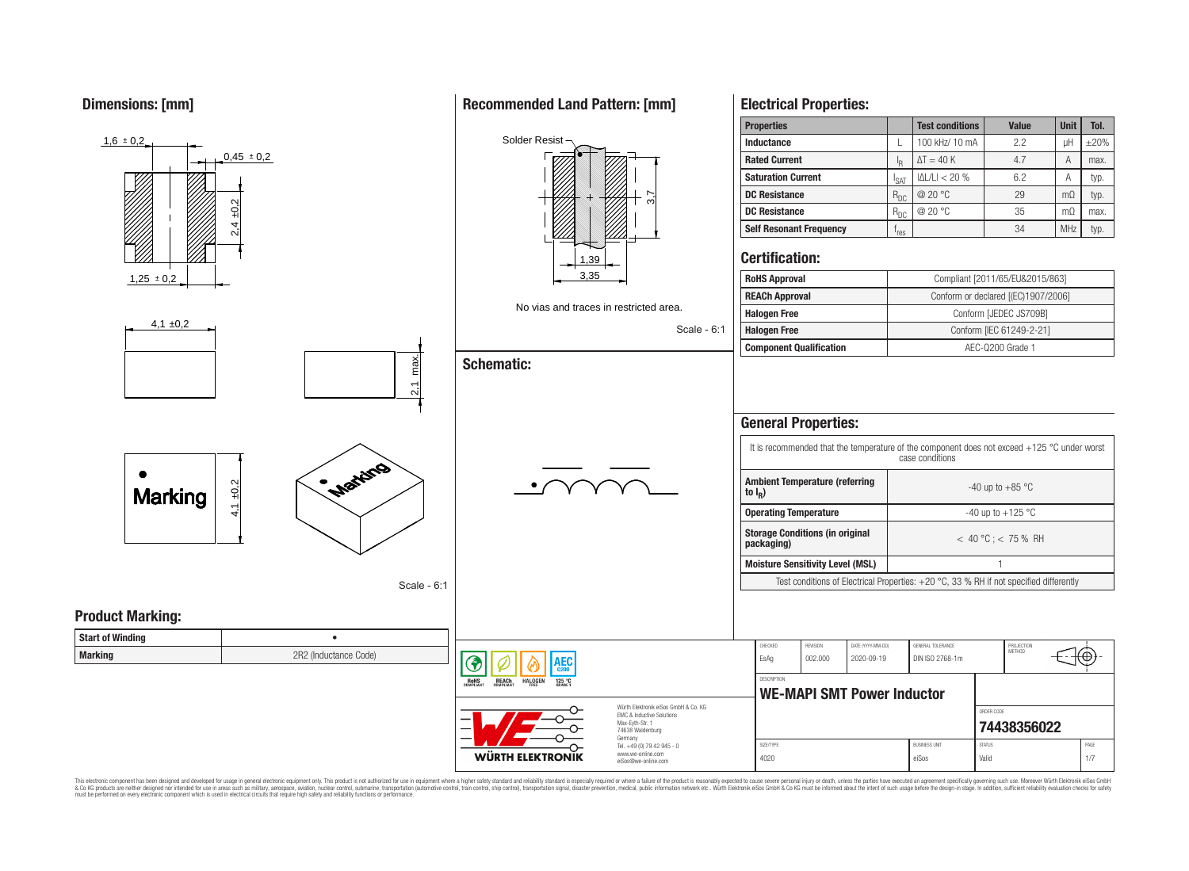**Dimensions: [mm]**



This electronic component has been designed and developed for usage in general electronic equipment only. This product is not authorized for use in equipment where a higher safety standard and reliability standard is espec & Ook product a label and the membed of the seasuch as marked and as which such a membed and the such assume that income in the seasuch and the simulation and the such assume that include to the such a membed and the such

# **Recommended Land Pattern: [mm]**

**Electrical Properties:**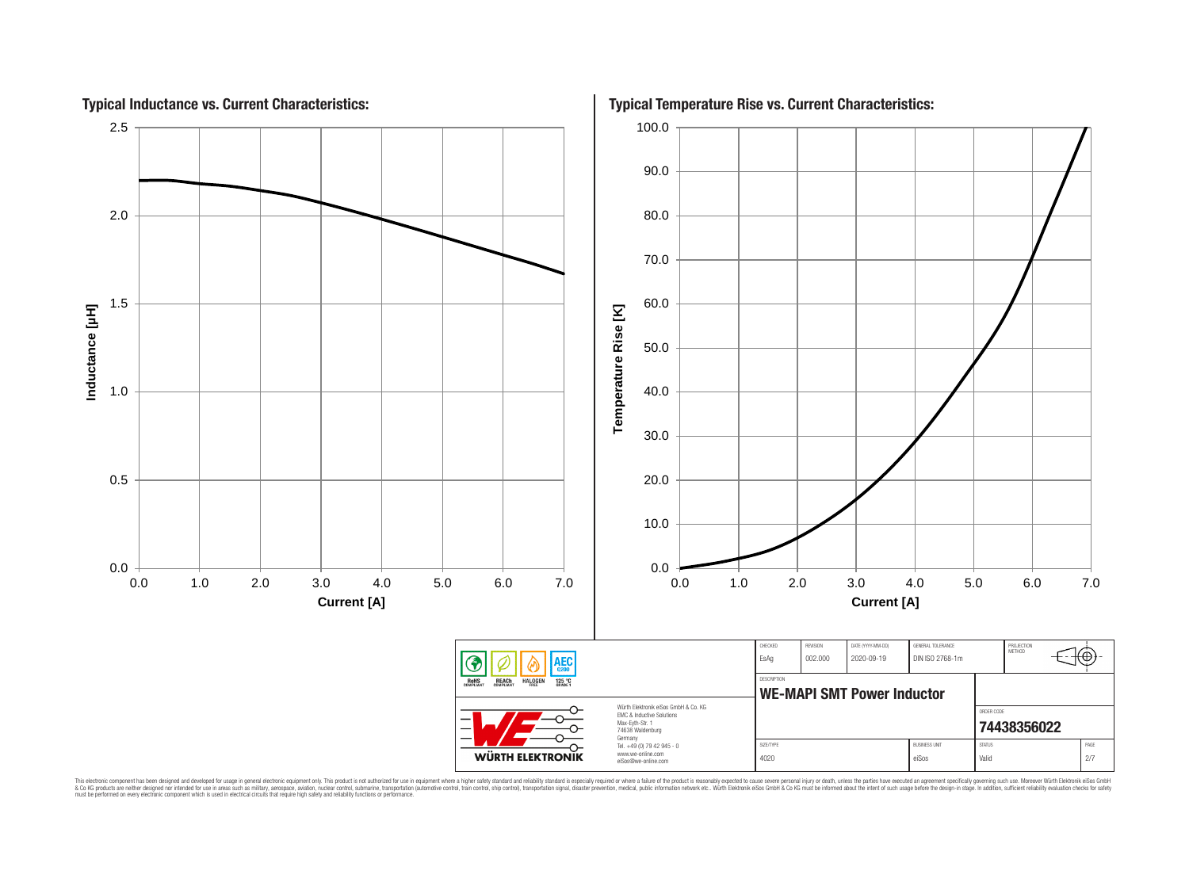

This electronic component has been designed and developed for usage in general electronic equipment only. This product is not authorized for subserved requipment where a higher selection equipment where a higher selection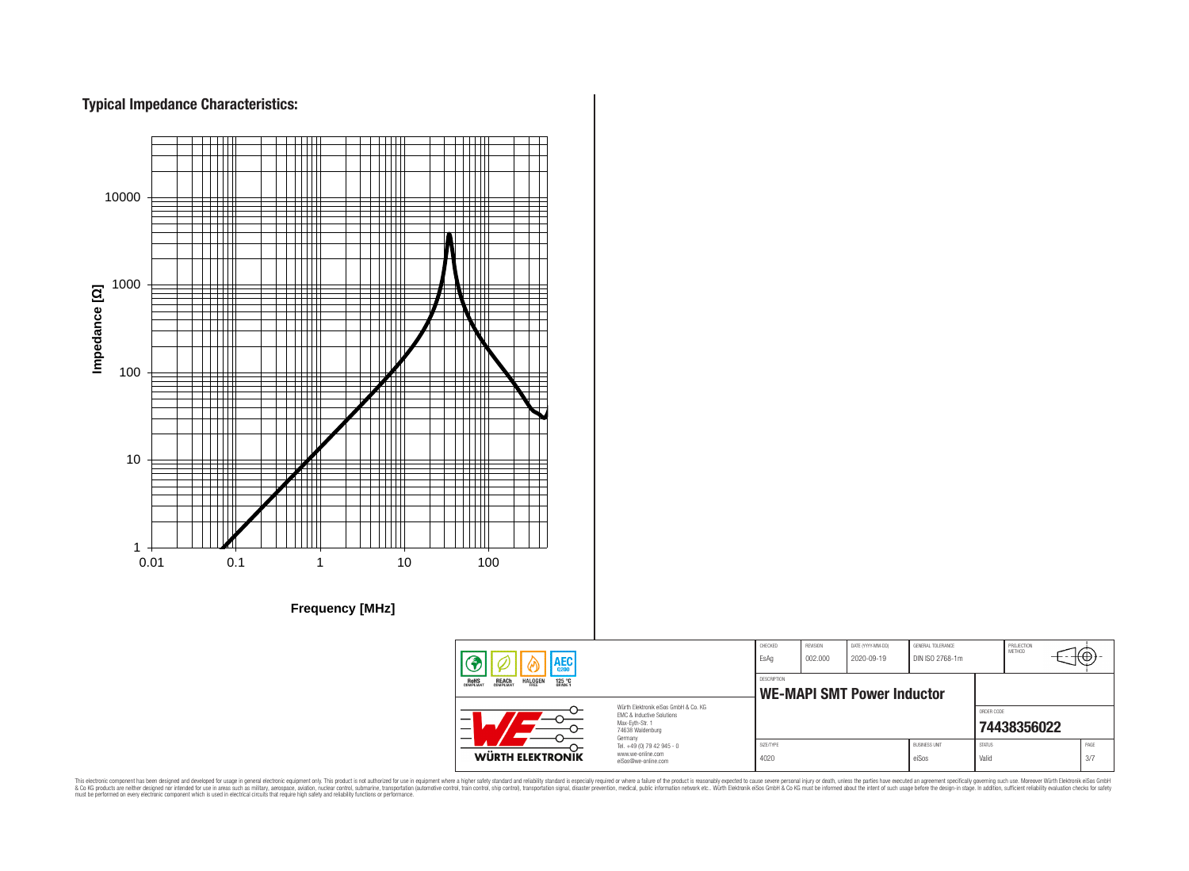# **Typical Impedance Characteristics:**



This electronic component has been designed and developed for usage in general electronic equipment only. This product is not authorized for use in equipment where a higher safely standard and reliability standard si espec & Ook product a label and the membed of the seasuch as marked and as which such a membed and the such assume that income in the seasuch and the simulation and the such assume that include to the such a membed and the such

76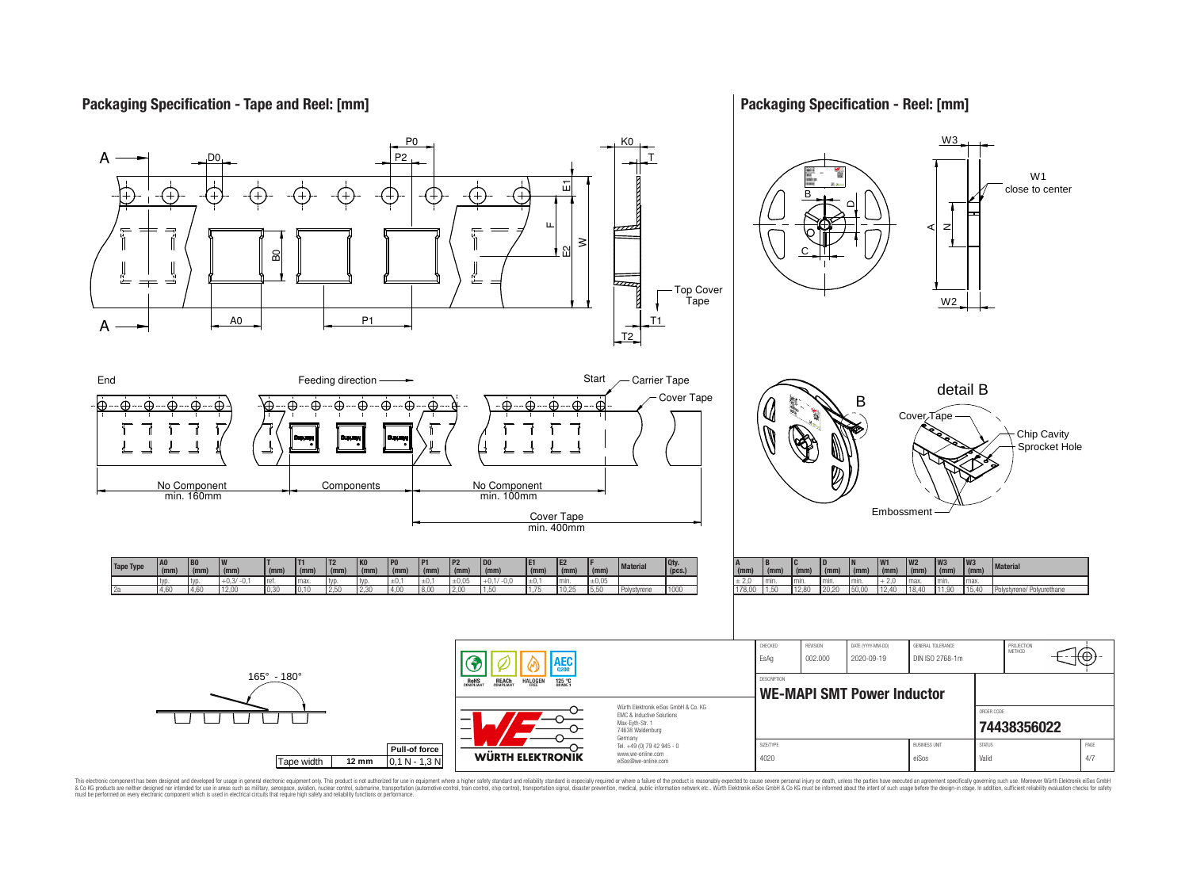## **Packaging Specification - Tape and Reel: [mm]**

## **Packaging Specification - Reel: [mm]**



This electronic component has been designed and developed for usage in general electronic equipment only. This product is not authorized for subserved requipment where a higher selection equipment where a higher selection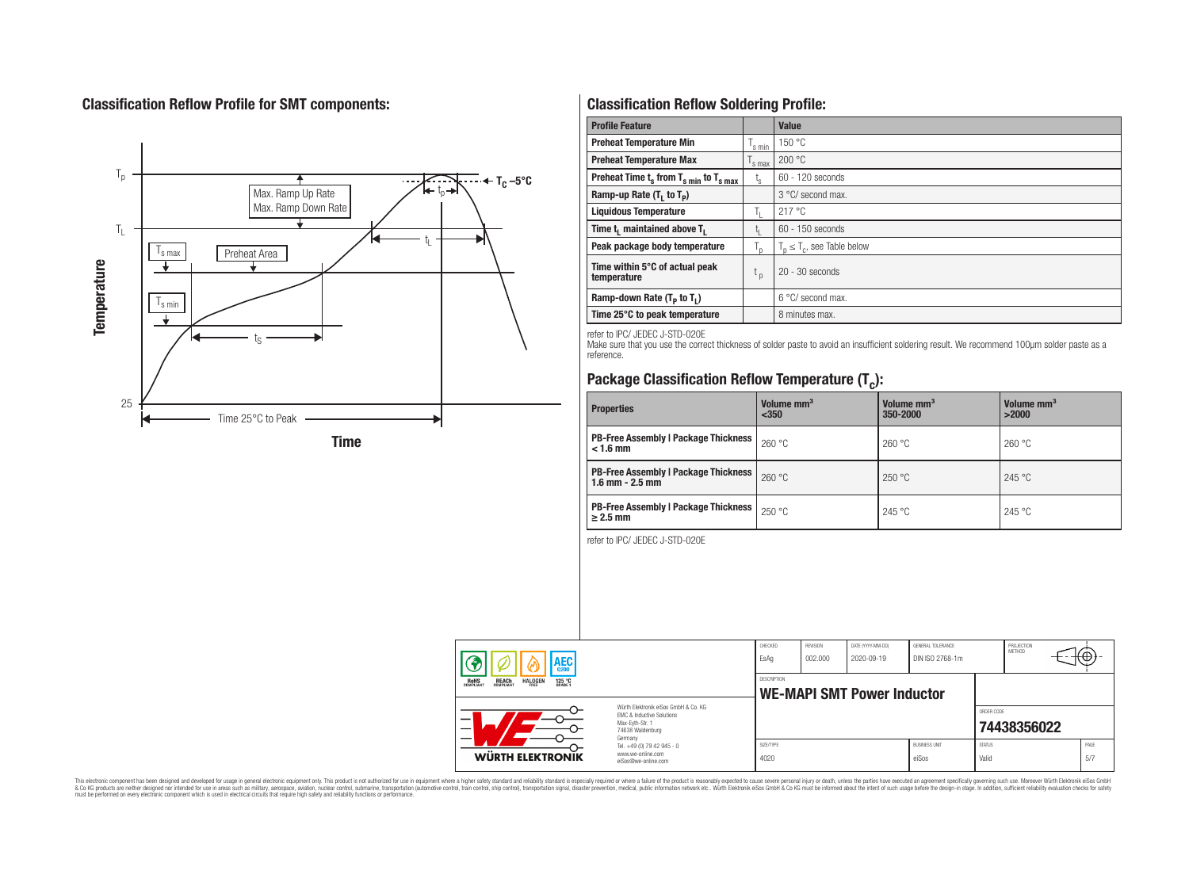# **Classification Reflow Profile for SMT components:**



# **Classification Reflow Soldering Profile:**

| <b>Profile Feature</b>                             |                    | <b>Value</b>                     |
|----------------------------------------------------|--------------------|----------------------------------|
| <b>Preheat Temperature Min</b>                     | <sup>I</sup> s min | 150 °C                           |
| <b>Preheat Temperature Max</b>                     | <sup>I</sup> s max | 200 °C                           |
| Preheat Time $t_s$ from $T_{s min}$ to $T_{s max}$ | $t_{\rm s}$        | $60 - 120$ seconds               |
| Ramp-up Rate $(T_1$ to $T_p$ )                     |                    | 3 °C/ second max.                |
| <b>Liquidous Temperature</b>                       | Ь.                 | 217 °C                           |
| Time $t_i$ maintained above $T_i$                  | կ                  | $60 - 150$ seconds               |
| Peak package body temperature                      | l n                | $T_p \leq T_c$ , see Table below |
| Time within 5°C of actual peak<br>temperature      | $t_{p}$            | $20 - 30$ seconds                |
| Ramp-down Rate $(T_p$ to $T_1$ )                   |                    | $6^{\circ}$ C/ second max.       |
| Time 25°C to peak temperature                      |                    | 8 minutes max.                   |

refer to IPC/ JEDEC J-STD-020E

Make sure that you use the correct thickness of solder paste to avoid an insufficient soldering result. We recommend 100µm solder paste as a reference.

# **Package Classification Reflow Temperature (T<sup>c</sup> ):**

| <b>Properties</b>                                                    | Volume mm <sup>3</sup><br>$350$ | Volume mm <sup>3</sup><br>350-2000 | Volume mm <sup>3</sup><br>>2000 |
|----------------------------------------------------------------------|---------------------------------|------------------------------------|---------------------------------|
| <b>PB-Free Assembly   Package Thickness  </b><br>$< 1.6$ mm          | 260 °C                          | 260 °C                             | 260 °C                          |
| <b>PB-Free Assembly   Package Thickness  </b><br>$1.6$ mm $- 2.5$ mm | 260 °C                          | 250 °C                             | 245 °C                          |
| <b>PB-Free Assembly   Package Thickness  </b><br>$\geq$ 2.5 mm       | 250 °C                          | 245 °C                             | 245 °C                          |

refer to IPC/ JEDEC J-STD-020E

| AEC                                                                                          |                                                                                                                     | CHECKED<br>EsAq                                  | <b>REVISION</b><br>002.000 | DATE (YYYY-MM-DD)<br>2020-09-19 | GENERAL TOLERANCE<br>DIN ISO 2768-1m |                        | PROJECTION<br>METHOD |             |
|----------------------------------------------------------------------------------------------|---------------------------------------------------------------------------------------------------------------------|--------------------------------------------------|----------------------------|---------------------------------|--------------------------------------|------------------------|----------------------|-------------|
| <b>REACH</b><br>COMPLIANT<br><b>HALOGEN</b><br><b>ROHS</b><br>COMPLIANT<br>125 °C<br>Grade 1 |                                                                                                                     | DESCRIPTION<br><b>WE-MAPI SMT Power Inductor</b> |                            |                                 |                                      |                        |                      |             |
|                                                                                              | Würth Flektronik eiSos GmbH & Co. KG<br>FMC & Inductive Solutions<br>Max-Eyth-Str. 1<br>74638 Waldenburg<br>Germany |                                                  |                            |                                 |                                      | ORDER CODE             | 74438356022          |             |
| WÜRTH ELEKTRONIK                                                                             | Tel. +49 (0) 79 42 945 - 0<br>www.we-online.com<br>eiSos@we-online.com                                              | SIZE/TYPE<br>4020                                |                            |                                 | <b>BUSINESS UNIT</b><br>eiSos        | <b>STATUS</b><br>Valid |                      | PAGE<br>5/7 |

This electronic component has been designed and developed for usage in general electronic equipment only. This product is not authorized for subserved requipment where a higher selection equipment where a higher selection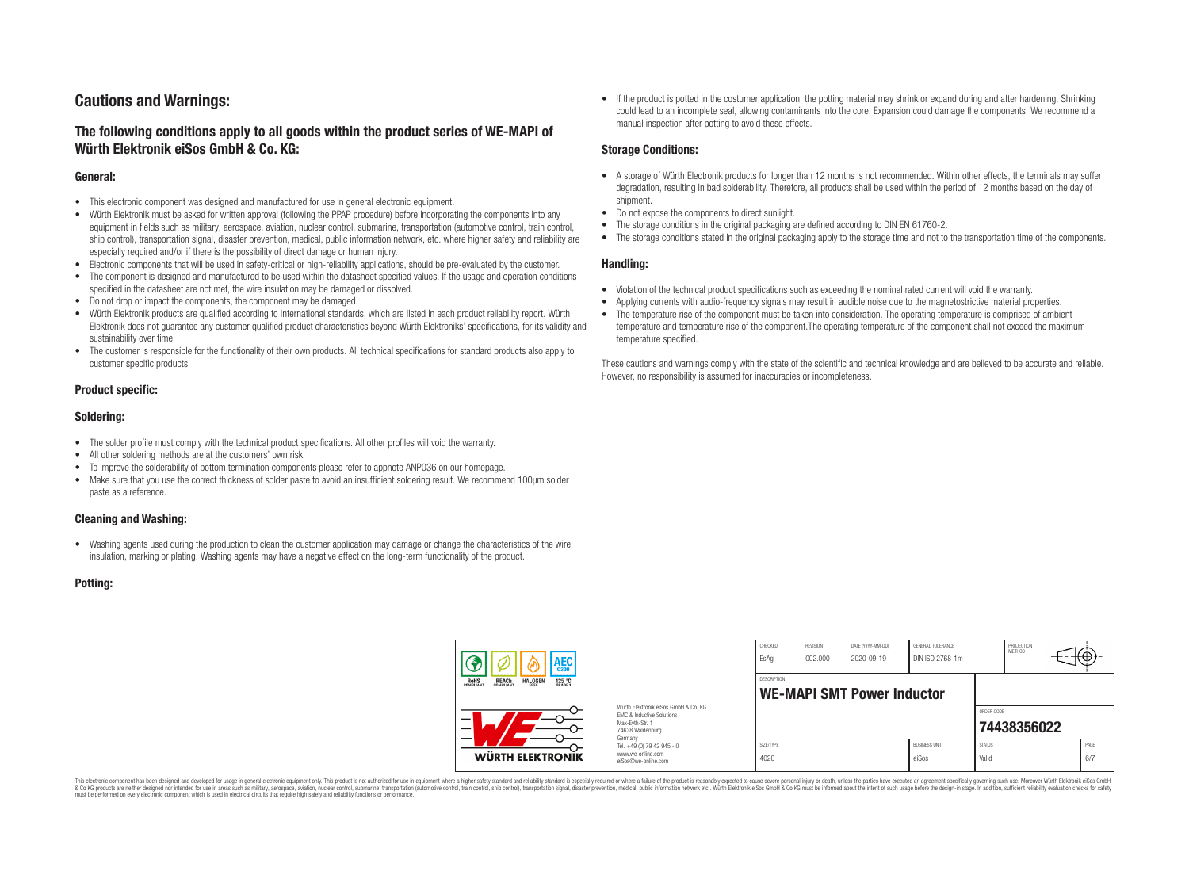# **Cautions and Warnings:**

## **The following conditions apply to all goods within the product series of WE-MAPI of Würth Elektronik eiSos GmbH & Co. KG:**

#### **General:**

- This electronic component was designed and manufactured for use in general electronic equipment.
- Würth Elektronik must be asked for written approval (following the PPAP procedure) before incorporating the components into any equipment in fields such as military, aerospace, aviation, nuclear control, submarine, transportation (automotive control, train control, ship control), transportation signal, disaster prevention, medical, public information network, etc. where higher safety and reliability are especially required and/or if there is the possibility of direct damage or human injury.
- Electronic components that will be used in safety-critical or high-reliability applications, should be pre-evaluated by the customer.
- The component is designed and manufactured to be used within the datasheet specified values. If the usage and operation conditions specified in the datasheet are not met, the wire insulation may be damaged or dissolved.
- Do not drop or impact the components, the component may be damaged.
- Würth Elektronik products are qualified according to international standards, which are listed in each product reliability report. Würth Elektronik does not guarantee any customer qualified product characteristics beyond Würth Elektroniks' specifications, for its validity and sustainability over time.
- The customer is responsible for the functionality of their own products. All technical specifications for standard products also apply to customer specific products.

#### **Product specific:**

#### **Soldering:**

- The solder profile must comply with the technical product specifications. All other profiles will void the warranty.
- All other soldering methods are at the customers' own risk.
- To improve the solderability of bottom termination components please refer to appnote ANP036 on our homepage.
- Make sure that you use the correct thickness of solder paste to avoid an insufficient soldering result. We recommend 100µm solder paste as a reference.

#### **Cleaning and Washing:**

• Washing agents used during the production to clean the customer application may damage or change the characteristics of the wire insulation, marking or plating. Washing agents may have a negative effect on the long-term functionality of the product.

#### **Potting:**

• If the product is potted in the costumer application, the potting material may shrink or expand during and after hardening. Shrinking could lead to an incomplete seal, allowing contaminants into the core. Expansion could damage the components. We recommend a manual inspection after potting to avoid these effects.

#### **Storage Conditions:**

- A storage of Würth Electronik products for longer than 12 months is not recommended. Within other effects, the terminals may suffer degradation, resulting in bad solderability. Therefore, all products shall be used within the period of 12 months based on the day of shipment.
- Do not expose the components to direct sunlight.
- The storage conditions in the original packaging are defined according to DIN EN 61760-2.
- The storage conditions stated in the original packaging apply to the storage time and not to the transportation time of the components.

#### **Handling:**

- Violation of the technical product specifications such as exceeding the nominal rated current will void the warranty.
- Applying currents with audio-frequency signals may result in audible noise due to the magnetostrictive material properties.
- The temperature rise of the component must be taken into consideration. The operating temperature is comprised of ambient temperature and temperature rise of the component.The operating temperature of the component shall not exceed the maximum temperature specified.

These cautions and warnings comply with the state of the scientific and technical knowledge and are believed to be accurate and reliable. However, no responsibility is assumed for inaccuracies or incompleteness.

| AEC                                                                                          |                                                                                                                                                                                               | CHECKED<br>EsAq                                         | <b>REVISION</b><br>002.000 | DATE (YYYY-MM-DD)<br>2020-09-19 | GENERAL TOLERANCE<br>DIN ISO 2768-1m |                        | PROJECTION<br>METHOD |             |
|----------------------------------------------------------------------------------------------|-----------------------------------------------------------------------------------------------------------------------------------------------------------------------------------------------|---------------------------------------------------------|----------------------------|---------------------------------|--------------------------------------|------------------------|----------------------|-------------|
| <b>ROHS</b><br>COMPLIANT<br><b>HALOGEN</b><br>125 °C<br>GRADE 1<br><b>REACH</b><br>COMPLIANT |                                                                                                                                                                                               | <b>DESCRIPTION</b><br><b>WE-MAPI SMT Power Inductor</b> |                            |                                 |                                      |                        |                      |             |
|                                                                                              | Würth Flektronik eiSos GmbH & Co. KG<br>FMC & Inductive Solutions<br>Max-Eyth-Str. 1<br>74638 Waldenburg<br>Germany<br>Tel. +49 (0) 79 42 945 - 0<br>www.we-online.com<br>eiSos@we-online.com |                                                         |                            |                                 |                                      | ORDER CODE             | 74438356022          |             |
| WÜRTH ELEKTRONIK                                                                             |                                                                                                                                                                                               | SIZE/TYPE<br>4020                                       |                            |                                 | <b>BUSINESS UNIT</b><br>eiSos        | <b>STATUS</b><br>Valid |                      | PAGE<br>6/7 |

This electronic component has been designed and developed for usage in general electronic equipment only. This product is not authorized for use in equipment where a higher safety standard and reliability standard si espec & Ook product a label and the membed of the seasuch as marked and as which such a membed and the such assume that income in the seasuch and the simulation and the such assume that include to the such a membed and the such